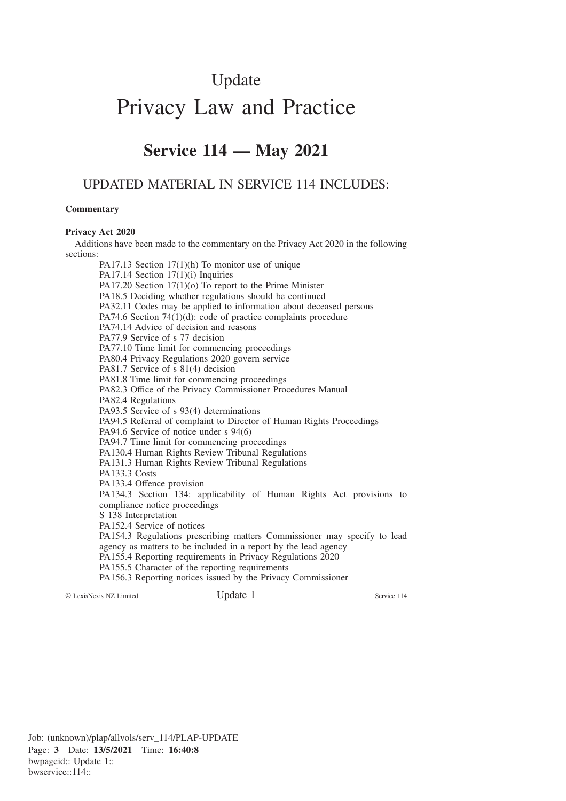## Update

# Privacy Law and Practice

## **Service 114 — May 2021**

### UPDATED MATERIAL IN SERVICE 114 INCLUDES:

#### **Commentary**

#### **Privacy Act 2020**

Additions have been made to the commentary on the Privacy Act 2020 in the following sections:

PA17.13 Section 17(1)(h) To monitor use of unique PA17.14 Section 17(1)(i) Inquiries PA17.20 Section 17(1)(o) To report to the Prime Minister PA18.5 Deciding whether regulations should be continued PA32.11 Codes may be applied to information about deceased persons PA74.6 Section 74(1)(d): code of practice complaints procedure PA74.14 Advice of decision and reasons PA77.9 Service of s 77 decision PA77.10 Time limit for commencing proceedings PA80.4 Privacy Regulations 2020 govern service PA81.7 Service of s 81(4) decision PA81.8 Time limit for commencing proceedings PA82.3 Office of the Privacy Commissioner Procedures Manual PA82.4 Regulations PA93.5 Service of s 93(4) determinations PA94.5 Referral of complaint to Director of Human Rights Proceedings PA94.6 Service of notice under s 94(6) PA94.7 Time limit for commencing proceedings PA130.4 Human Rights Review Tribunal Regulations PA131.3 Human Rights Review Tribunal Regulations PA133.3 Costs PA133.4 Offence provision PA134.3 Section 134: applicability of Human Rights Act provisions to compliance notice proceedings S 138 Interpretation PA152.4 Service of notices PA154.3 Regulations prescribing matters Commissioner may specify to lead agency as matters to be included in a report by the lead agency PA155.4 Reporting requirements in Privacy Regulations 2020 PA155.5 Character of the reporting requirements PA156.3 Reporting notices issued by the Privacy Commissioner © LexisNexis NZ Limited Update 1 Service 114